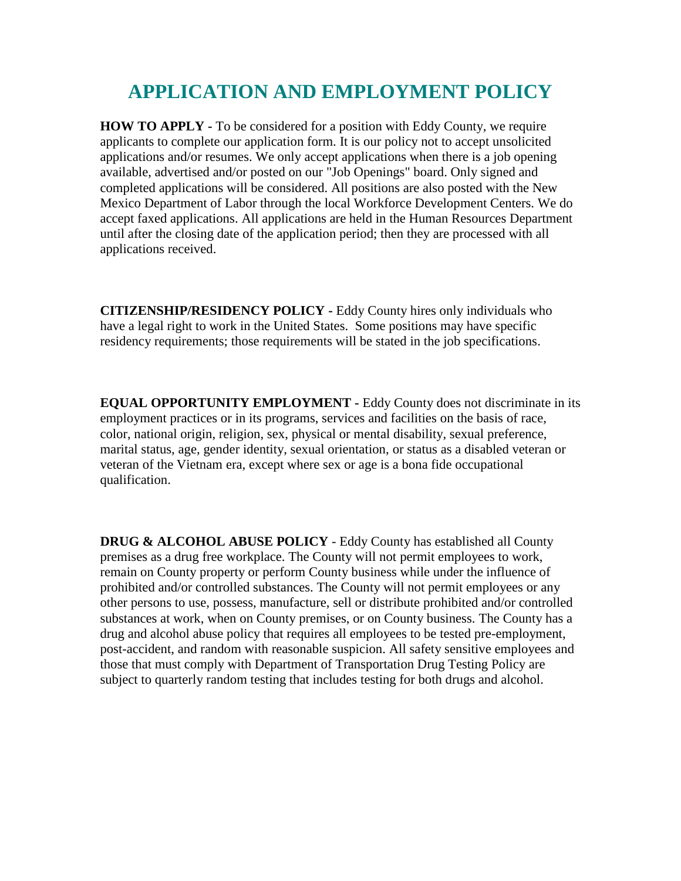## **APPLICATION AND EMPLOYMENT POLICY**

**HOW TO APPLY -** To be considered for a position with Eddy County, we require applicants to complete our application form. It is our policy not to accept unsolicited applications and/or resumes. We only accept applications when there is a job opening available, advertised and/or posted on our "Job Openings" board. Only signed and completed applications will be considered. All positions are also posted with the New Mexico Department of Labor through the local Workforce Development Centers. We do accept faxed applications. All applications are held in the Human Resources Department until after the closing date of the application period; then they are processed with all applications received.

**CITIZENSHIP/RESIDENCY POLICY -** Eddy County hires only individuals who have a legal right to work in the United States. Some positions may have specific residency requirements; those requirements will be stated in the job specifications.

**EQUAL OPPORTUNITY EMPLOYMENT -** Eddy County does not discriminate in its employment practices or in its programs, services and facilities on the basis of race, color, national origin, religion, sex, physical or mental disability, sexual preference, marital status, age, gender identity, sexual orientation, or status as a disabled veteran or veteran of the Vietnam era, except where sex or age is a bona fide occupational qualification.

**DRUG & ALCOHOL ABUSE POLICY** - Eddy County has established all County premises as a drug free workplace. The County will not permit employees to work, remain on County property or perform County business while under the influence of prohibited and/or controlled substances. The County will not permit employees or any other persons to use, possess, manufacture, sell or distribute prohibited and/or controlled substances at work, when on County premises, or on County business. The County has a drug and alcohol abuse policy that requires all employees to be tested pre-employment, post-accident, and random with reasonable suspicion. All safety sensitive employees and those that must comply with Department of Transportation Drug Testing Policy are subject to quarterly random testing that includes testing for both drugs and alcohol.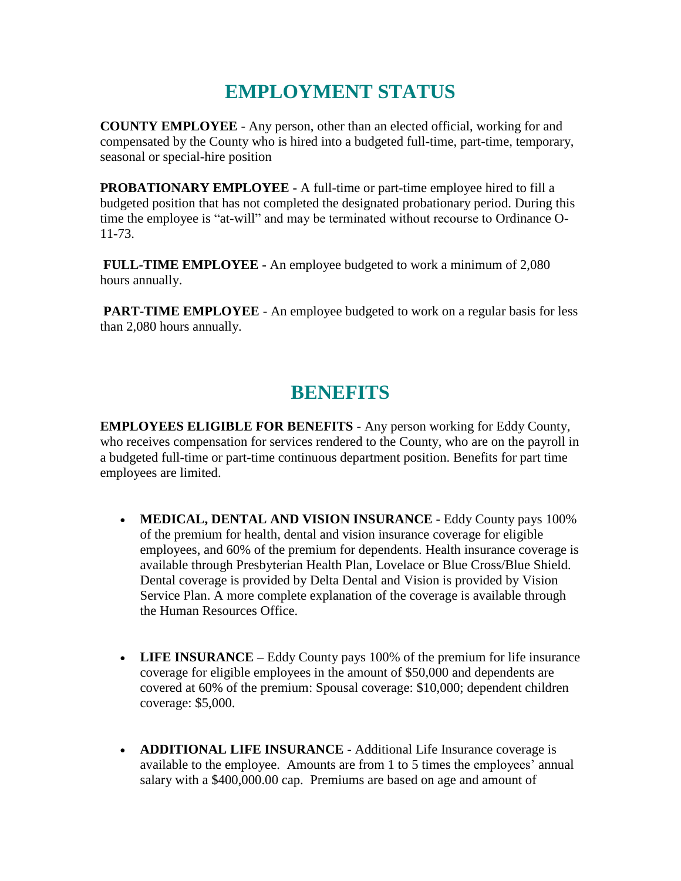## **EMPLOYMENT STATUS**

**COUNTY EMPLOYEE** - Any person, other than an elected official, working for and compensated by the County who is hired into a budgeted full-time, part-time, temporary, seasonal or special-hire position

**PROBATIONARY EMPLOYEE -** A full-time or part-time employee hired to fill a budgeted position that has not completed the designated probationary period. During this time the employee is "at-will" and may be terminated without recourse to Ordinance O-11-73.

**FULL-TIME EMPLOYEE -** An employee budgeted to work a minimum of 2,080 hours annually.

**PART-TIME EMPLOYEE** - An employee budgeted to work on a regular basis for less than 2,080 hours annually.

## **BENEFITS**

**EMPLOYEES ELIGIBLE FOR BENEFITS** - Any person working for Eddy County, who receives compensation for services rendered to the County, who are on the payroll in a budgeted full-time or part-time continuous department position. Benefits for part time employees are limited.

- **MEDICAL, DENTAL AND VISION INSURANCE -** Eddy County pays 100% of the premium for health, dental and vision insurance coverage for eligible employees, and 60% of the premium for dependents. Health insurance coverage is available through Presbyterian Health Plan, Lovelace or Blue Cross/Blue Shield. Dental coverage is provided by Delta Dental and Vision is provided by Vision Service Plan. A more complete explanation of the coverage is available through the Human Resources Office.
- **LIFE INSURANCE** Eddy County pays 100% of the premium for life insurance coverage for eligible employees in the amount of \$50,000 and dependents are covered at 60% of the premium: Spousal coverage: \$10,000; dependent children coverage: \$5,000.
- **ADDITIONAL LIFE INSURANCE**  Additional Life Insurance coverage is available to the employee. Amounts are from 1 to 5 times the employees' annual salary with a \$400,000.00 cap. Premiums are based on age and amount of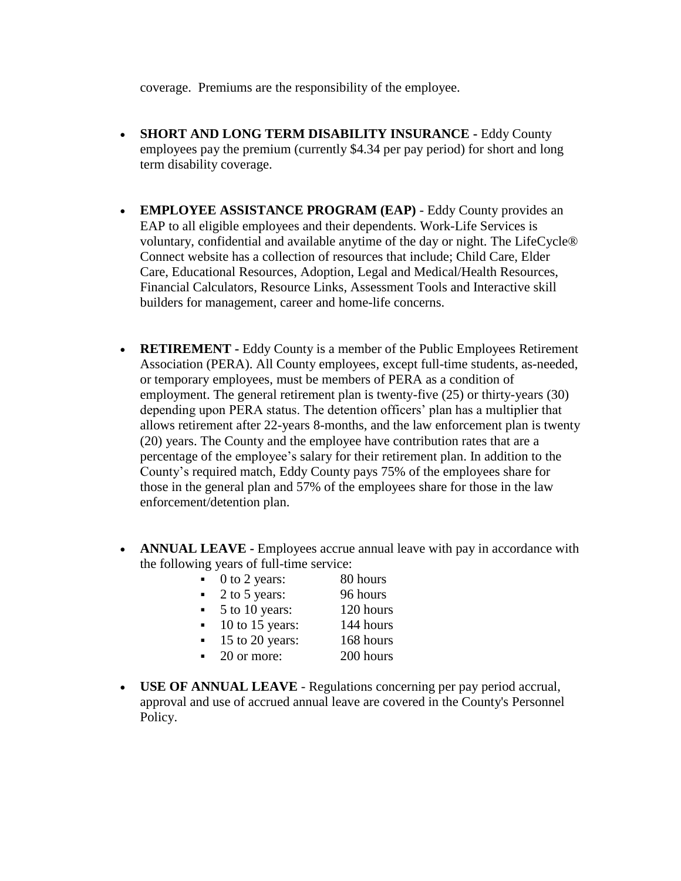coverage. Premiums are the responsibility of the employee.

- **SHORT AND LONG TERM DISABILITY INSURANCE -** Eddy County employees pay the premium (currently \$4.34 per pay period) for short and long term disability coverage.
- **EMPLOYEE ASSISTANCE PROGRAM (EAP)** Eddy County provides an EAP to all eligible employees and their dependents. Work-Life Services is voluntary, confidential and available anytime of the day or night. The LifeCycle® Connect website has a collection of resources that include; Child Care, Elder Care, Educational Resources, Adoption, Legal and Medical/Health Resources, Financial Calculators, Resource Links, Assessment Tools and Interactive skill builders for management, career and home-life concerns.
- **RETIREMENT -** Eddy County is a member of the Public Employees Retirement Association (PERA). All County employees, except full-time students, as-needed, or temporary employees, must be members of PERA as a condition of employment. The general retirement plan is twenty-five (25) or thirty-years (30) depending upon PERA status. The detention officers' plan has a multiplier that allows retirement after 22-years 8-months, and the law enforcement plan is twenty (20) years. The County and the employee have contribution rates that are a percentage of the employee's salary for their retirement plan. In addition to the County's required match, Eddy County pays 75% of the employees share for those in the general plan and 57% of the employees share for those in the law enforcement/detention plan.
- **ANNUAL LEAVE -** Employees accrue annual leave with pay in accordance with the following years of full-time service:
	- $\bullet$  0 to 2 years: 80 hours • 2 to 5 years: 96 hours  $\bullet$  5 to 10 years: 120 hours  $\blacksquare$  10 to 15 years: 144 hours  $\blacksquare$  15 to 20 years: 168 hours  $\bullet$  200 hours 200 hours
- **USE OF ANNUAL LEAVE** Regulations concerning per pay period accrual, approval and use of accrued annual leave are covered in the County's Personnel Policy.